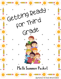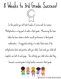## 8 Weeks to 3rd Grade Success!



In this packet you will find 8 weeks of review work for summer. Multiplication is a big part of math in third grade. Memorizing the times tables has been shown in better overall performance in third grade mathematics. A suggested activity is to make flash cards of the multiplication facts and practice with your child. Each week your child will complete one half of each page. This will help your child retain what they learned in second grade to help him/her succeed in third grade.



Bunches of Kids and Kisses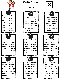

## Multiplication Tables 2x7=14  $2x0=0$  $2x1=2$ 2x8=16  $2x2=4$  $2x9=18$  $2x3=6$ 2x10=20  $2x4=8$ 2x11=22 2x5=10 2x12=24 2x6=12 Y 4x (5x) and (5x) 5x7=35  $5x0=0$ 5x8=40  $5x1=5$ 5x2=10 5x9=45 5x3=15 5x10=50 5x4=20 5x11=55  $5x5=25$ 5x12=60 5x6=60  $\sqrt{2}$ 8x0=0 8x7=56  $8x1=8$ 8x8=64  $8x2=16$ 8x9=72 8x3=24 8x10=80  $8x4=32$ 8x11=88 8x12=96  $8x5=40$ 8x6=48

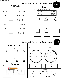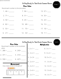Bunches of Kids and Kisses

Getting Ready for Third Grade Summer Review



**Place Value**

Round each number to the tens place.

| 1. $46 =$ | $7.96 =$   | $13.57 =$ |
|-----------|------------|-----------|
|           | $8.31 =$   |           |
| $3.50 =$  |            |           |
|           | 10. $68 =$ | $16.15 =$ |
| $5.53 =$  | $11.75 =$  | $17.92 =$ |
|           | $12.32=$   | $18.11 =$ |

| Getting Ready for Third Grade Summer Review<br><b>Place Value</b><br>Multiplication |                                                     |                    |  |  |  |
|-------------------------------------------------------------------------------------|-----------------------------------------------------|--------------------|--|--|--|
| Round each number to the hundreds                                                   |                                                     |                    |  |  |  |
| place.                                                                              | $1.2 \times 1 =$                                    | 8. $3 \times 1 =$  |  |  |  |
| 1. $286 =$ 4. $243 =$                                                               |                                                     |                    |  |  |  |
|                                                                                     |                                                     |                    |  |  |  |
| 2. $371 =$ 5. $315 =$                                                               | $\begin{array}{ccc}   & 3.2 \times 3 = \end{array}$ |                    |  |  |  |
| 3. $550 =$ 6. $427 =$                                                               |                                                     |                    |  |  |  |
|                                                                                     | $4.2 \times 4 =$                                    | 11. $3 \times 4 =$ |  |  |  |
|                                                                                     |                                                     |                    |  |  |  |
| <b>Measurement</b><br>How mahy inches is the pencil?                                | 5. $2 \times 5 =$                                   | 12. $3 \times 5 =$ |  |  |  |
|                                                                                     | 6. $2 \times 6 =$                                   | 13. $3 \times 6 =$ |  |  |  |
|                                                                                     | $7.2 \times 7 =$                                    | $14.3 \times 7 =$  |  |  |  |
|                                                                                     |                                                     |                    |  |  |  |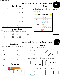| unches of Kids and Kisses                    |                                                               |                                                       |
|----------------------------------------------|---------------------------------------------------------------|-------------------------------------------------------|
|                                              |                                                               | Getting Ready for Third Grade Summer Review<br>Week 5 |
|                                              | Multiplication                                                | Graphs                                                |
|                                              |                                                               | Look at the graph. Which plant has the<br>most votes? |
|                                              | 2. $4 \times 2 =$ 7. $8 \times 2 =$                           | ***Favorite Planet***                                 |
|                                              | $3.4 \times 3=$ 8. $7 \times 3=$                              | Mercury                                               |
|                                              | 4. $4 \times 4 =$ 9. $5 \times 4 =$                           | Venus 33<br>3332<br>Mars                              |
|                                              |                                                               | Ź.<br>Jupiter                                         |
|                                              | 5. $4 \times 5 =$ 10. $5 \times 5 =$                          | 33333<br>Saturn                                       |
|                                              | <b>Unknown Number</b><br>What number makes the sentence true? | $\mathcal{B}_{+}$ = 2 KIDS<br><b>KEY: EACH</b>        |
|                                              | $1.36 + 52 \quad 3.15 + 32 = 32$                              |                                                       |
|                                              | 2. 48 - $\_\_$ = 13 4. 53 - $\_\_$ = 27                       |                                                       |
|                                              |                                                               | Week 6<br>Getting Ready for Third Grade Summer Review |
| Write the value of the underlined<br>number. | <b>Place Value</b>                                            | Geometry<br>Circle the shapes with four sides.        |
| 1. 2 <u>6</u> 3= _______                     | 1. $601 =$                                                    |                                                       |
| 2. $\underline{540} =$                       | 2. 689=                                                       |                                                       |
| 3. 30 <u>0</u> = _______                     | 3. $453=$                                                     | Circle the shape with less than four sides.           |
| How mahy inchas is the nansil?               | <b>Measurement</b>                                            |                                                       |

Circle the shape s with more than four sides.







- 2. <u>5</u>40= \_\_\_\_\_\_
- 3. 30<u>0</u>= \_\_\_\_\_\_

**Measurement** How mahy inches is the pencil? D  $\ddot{\mathbf{0}}$  $\overline{\mathbf{2}}$  $\mathbf{1}$